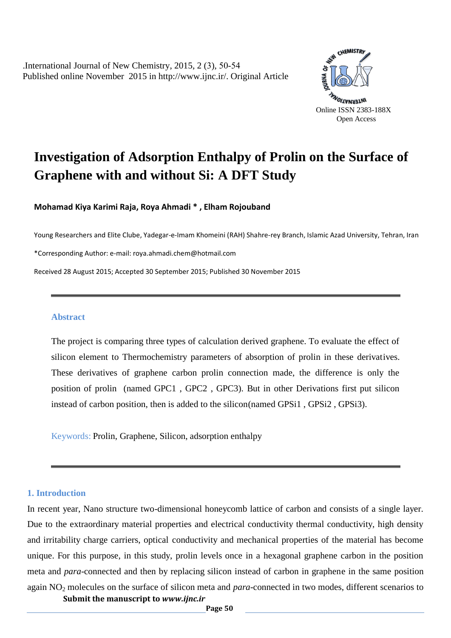.International Journal of New Chemistry, 2015, 2 (3), 50-54 Published online November 2015 i[n http://www.ijnc.ir/.](http://www.ijnc.ir/) Original Article



# **Investigation of Adsorption Enthalpy of Prolin on the Surface of Graphene with and without Si: A DFT Study**

**Mohamad Kiya Karimi Raja, Roya Ahmadi \* , Elham Rojouband**

Young Researchers and Elite Clube, Yadegar-e-Imam Khomeini (RAH) Shahre-rey Branch, Islamic Azad University, Tehran, Iran

\*Corresponding Author: e-mail: roya.ahmadi.chem@hotmail.com

Received 28 August 2015; Accepted 30 September 2015; Published 30 November 2015

#### **Abstract**

The project is comparing three types of calculation derived graphene. To evaluate the effect of silicon element to Thermochemistry parameters of absorption of prolin in these derivatives. These derivatives of graphene carbon prolin connection made, the difference is only the position of prolin (named GPC1 , GPC2 , GPC3). But in other Derivations first put silicon instead of carbon position, then is added to the silicon(named GPSi1 , GPSi2 , GPSi3).

Keywords: Prolin, Graphene, Silicon, adsorption enthalpy

#### **1. Introduction**

**Submit the manuscript to** *www.ijnc.ir* In recent year, Nano structure two-dimensional honeycomb lattice of carbon and consists of a single layer. Due to the extraordinary material properties and electrical conductivity thermal conductivity, high density and irritability charge carriers, optical conductivity and mechanical properties of the material has become unique. For this purpose, in this study, prolin levels once in a hexagonal graphene carbon in the position meta and *para*-connected and then by replacing silicon instead of carbon in graphene in the same position again NO<sup>2</sup> molecules on the surface of silicon meta and *para*-connected in two modes, different scenarios to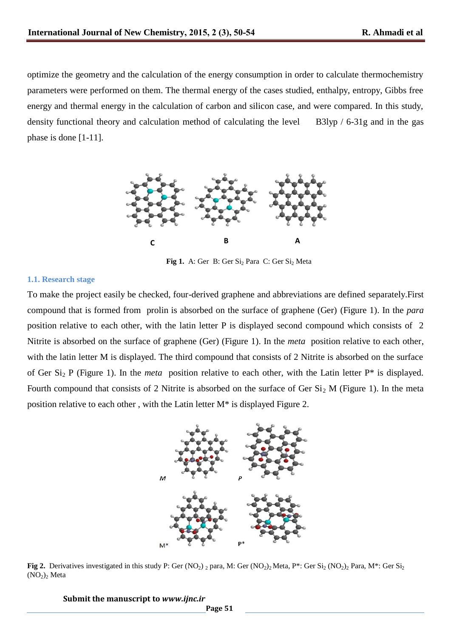optimize the geometry and the calculation of the energy consumption in order to calculate thermochemistry parameters were performed on them. The thermal energy of the cases studied, enthalpy, entropy, Gibbs free energy and thermal energy in the calculation of carbon and silicon case, and were compared. In this study, density functional theory and calculation method of calculating the level B3lyp / 6-31g and in the gas phase is done [1-11].



Fig 1. A: Ger B: Ger Si<sub>2</sub> Para C: Ger Si<sub>2</sub> Meta

### **1.1. Research stage**

To make the project easily be checked, four-derived graphene and abbreviations are defined separately.First compound that is formed from prolin is absorbed on the surface of graphene (Ger) (Figure 1). In the *para* position relative to each other, with the latin letter P is displayed second compound which consists of 2 Nitrite is absorbed on the surface of graphene (Ger) (Figure 1). In the *meta* position relative to each other, with the latin letter M is displayed. The third compound that consists of 2 Nitrite is absorbed on the surface of Ger Si2 P (Figure 1). In the *meta* position relative to each other, with the Latin letter P\* is displayed. Fourth compound that consists of 2 Nitrite is absorbed on the surface of Ger  $Si<sub>2</sub> M$  (Figure 1). In the meta position relative to each other , with the Latin letter M\* is displayed Figure 2.



**Fig 2.** Derivatives investigated in this study P: Ger (NO<sub>2</sub>) <sub>2</sub> para, M: Ger (NO<sub>2</sub>)<sub>2</sub> Meta, P<sup>\*</sup>: Ger Si<sub>2</sub> (NO<sub>2</sub>)<sub>2</sub> Para, M<sup>\*</sup>: Ger Si<sub>2</sub>  $(NO<sub>2</sub>)<sub>2</sub> Meta$ 

**Submit the manuscript to** *www.ijnc.ir*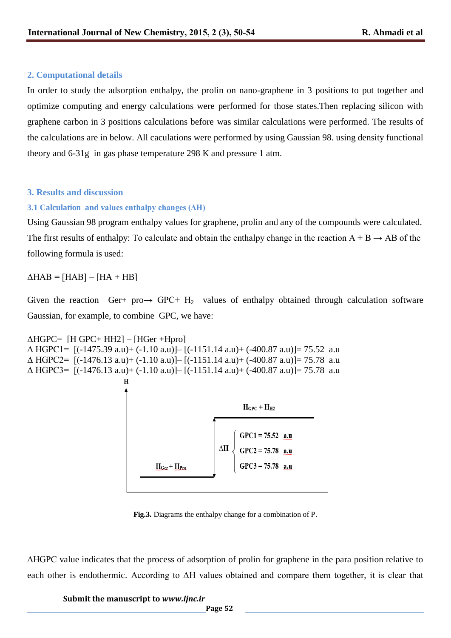## **2. Computational details**

In order to study the adsorption enthalpy, the prolin on nano-graphene in 3 positions to put together and optimize computing and energy calculations were performed for those states.Then replacing silicon with graphene carbon in 3 positions calculations before was similar calculations were performed. The results of the calculations are in below. All caculations were performed by using Gaussian 98. using density functional theory and 6-31g in gas phase temperature 298 K and pressure 1 atm.

## **3. Results and discussion**

# **3.1 Calculation and values enthalpy changes (ΔH)**

Using Gaussian 98 program enthalpy values for graphene, prolin and any of the compounds were calculated. The first results of enthalpy: To calculate and obtain the enthalpy change in the reaction  $A + B \rightarrow AB$  of the following formula is used:

 $\triangle HAB = [HAB] - [HA + HB]$ 

Given the reaction Ger+ pro $\rightarrow$  GPC+ H<sub>2</sub> values of enthalpy obtained through calculation software Gaussian, for example, to combine GPC, we have:

```
\triangle HGPC = [H GPC + HH2] - [H Ger +Hpro]\Delta HGPC1= [(-1475.39 a.u)+ (-1.10 a.u)]– [(-1151.14 a.u)+ (-400.87 a.u)]= 75.52 a.u
\Delta HGPC2= [(-1476.13 a.u)+ (-1.10 a.u)]– [(-1151.14 a.u)+ (-400.87 a.u)]= 75.78 a.u
\Delta HGPC3= [(-1476.13 a.u)+ (-1.10 a.u)]– [(-1151.14 a.u)+ (-400.87 a.u)]= 75.78 a.u
```


**Fig.3.** Diagrams the enthalpy change for a combination of P.

ΔHGPC value indicates that the process of adsorption of prolin for graphene in the para position relative to each other is endothermic. According to ΔH values obtained and compare them together, it is clear that

## **Submit the manuscript to** *www.ijnc.ir*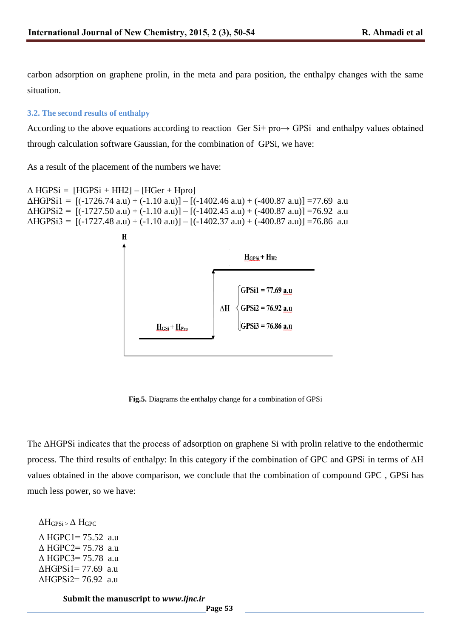carbon adsorption on graphene prolin, in the meta and para position, the enthalpy changes with the same situation.

### **3.2. The second results of enthalpy**

According to the above equations according to reaction Ger Si+ pro→ GPSi and enthalpy values obtained through calculation software Gaussian, for the combination of GPSi, we have:

As a result of the placement of the numbers we have:

```
\triangle HGPSi = [HGPSi + HH2] – [HGer + Hpro]
\triangle HGPSi1 = [(-1726.74 \text{ a.u}) + (-1.10 \text{ a.u})] - [(-1402.46 \text{ a.u}) + (-400.87 \text{ a.u})] = 77.69 \text{ a.u}\triangle HGPSi2 = [(-1727.50 \text{ a.u}) + (-1.10 \text{ a.u})] - [(-1402.45 \text{ a.u}) + (-400.87 \text{ a.u})] = 76.92 \text{ a.u}\triangle HGP\text{Si3} = [(-1727.48 \text{ a.u}) + (-1.10 \text{ a.u})] - [(-1402.37 \text{ a.u}) + (-400.87 \text{ a.u})] = 76.86 \text{ a.u}
```


**Fig.5.** Diagrams the enthalpy change for a combination of GPSi

The ΔHGPSi indicates that the process of adsorption on graphene Si with prolin relative to the endothermic process. The third results of enthalpy: In this category if the combination of GPC and GPSi in terms of ΔH values obtained in the above comparison, we conclude that the combination of compound GPC , GPSi has much less power, so we have:

```
 Δ HGPC1= 75.52 a.u 
 Δ HGPC2= 75.78 a.u 
 Δ HGPC3= 75.78 a.u 
 ΔHGPSi1= 77.69 a.u 
 ΔHGPSi2= 76.92 a.u 
\Delta H_{GPSi} \geq \Delta H_{GPC}
```
**Submit the manuscript to** *www.ijnc.ir*